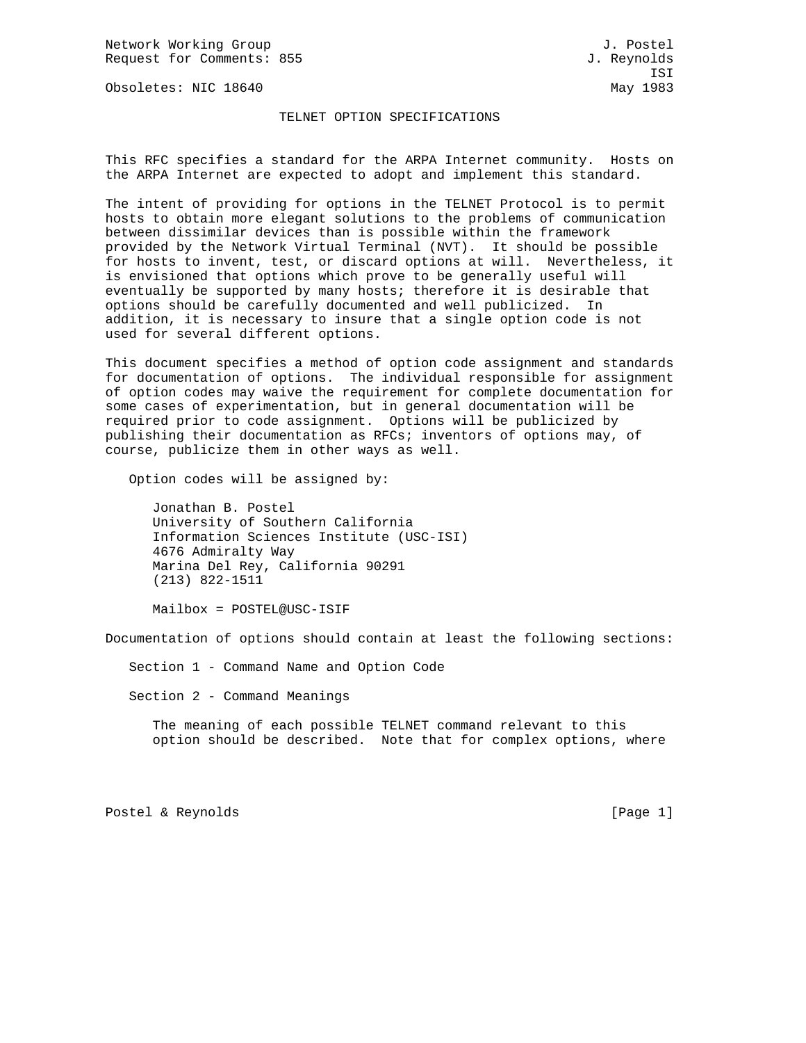Network Working Group J. Postel Request for Comments: 855 J. Reynolds

Obsoletes: NIC 18640 May 1983

## TELNET OPTION SPECIFICATIONS

This RFC specifies a standard for the ARPA Internet community. Hosts on the ARPA Internet are expected to adopt and implement this standard.

The intent of providing for options in the TELNET Protocol is to permit hosts to obtain more elegant solutions to the problems of communication between dissimilar devices than is possible within the framework provided by the Network Virtual Terminal (NVT). It should be possible for hosts to invent, test, or discard options at will. Nevertheless, it is envisioned that options which prove to be generally useful will eventually be supported by many hosts; therefore it is desirable that options should be carefully documented and well publicized. In addition, it is necessary to insure that a single option code is not used for several different options.

This document specifies a method of option code assignment and standards for documentation of options. The individual responsible for assignment of option codes may waive the requirement for complete documentation for some cases of experimentation, but in general documentation will be required prior to code assignment. Options will be publicized by publishing their documentation as RFCs; inventors of options may, of course, publicize them in other ways as well.

Option codes will be assigned by:

 Jonathan B. Postel University of Southern California Information Sciences Institute (USC-ISI) 4676 Admiralty Way Marina Del Rey, California 90291 (213) 822-1511

Mailbox = POSTEL@USC-ISIF

Documentation of options should contain at least the following sections:

Section 1 - Command Name and Option Code

Section 2 - Command Meanings

 The meaning of each possible TELNET command relevant to this option should be described. Note that for complex options, where

Postel & Reynolds [Page 1]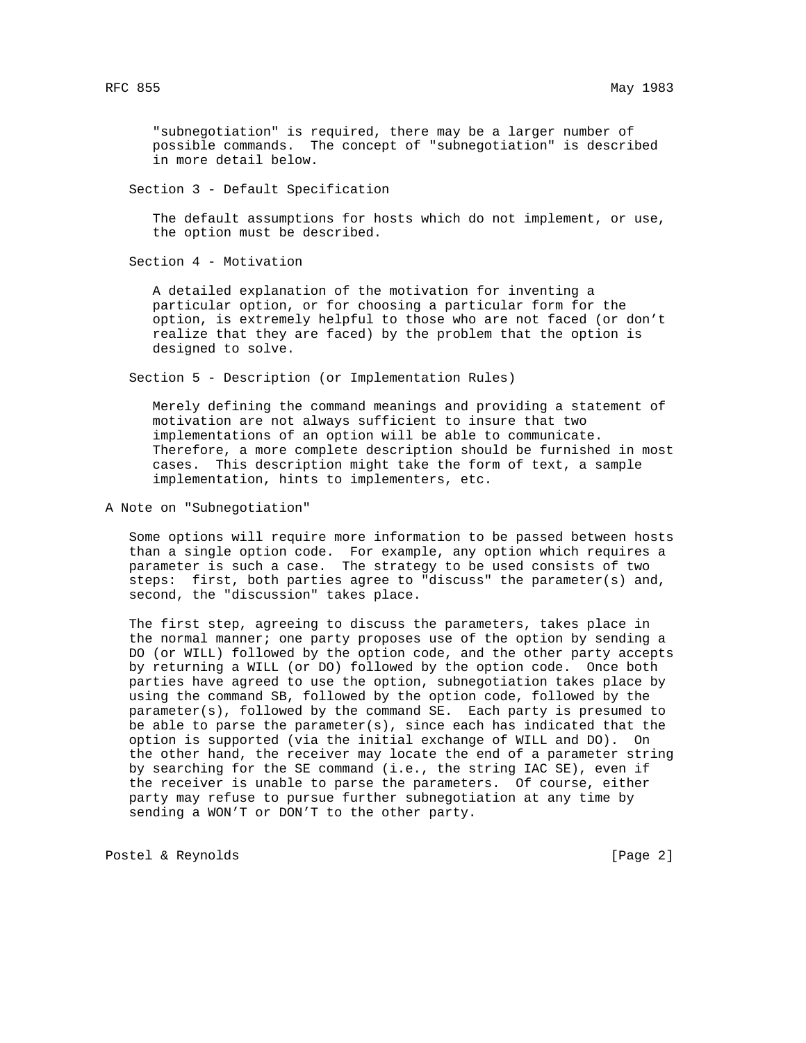"subnegotiation" is required, there may be a larger number of possible commands. The concept of "subnegotiation" is described in more detail below.

Section 3 - Default Specification

 The default assumptions for hosts which do not implement, or use, the option must be described.

Section 4 - Motivation

 A detailed explanation of the motivation for inventing a particular option, or for choosing a particular form for the option, is extremely helpful to those who are not faced (or don't realize that they are faced) by the problem that the option is designed to solve.

Section 5 - Description (or Implementation Rules)

 Merely defining the command meanings and providing a statement of motivation are not always sufficient to insure that two implementations of an option will be able to communicate. Therefore, a more complete description should be furnished in most cases. This description might take the form of text, a sample implementation, hints to implementers, etc.

A Note on "Subnegotiation"

 Some options will require more information to be passed between hosts than a single option code. For example, any option which requires a parameter is such a case. The strategy to be used consists of two steps: first, both parties agree to "discuss" the parameter(s) and, second, the "discussion" takes place.

 The first step, agreeing to discuss the parameters, takes place in the normal manner; one party proposes use of the option by sending a DO (or WILL) followed by the option code, and the other party accepts by returning a WILL (or DO) followed by the option code. Once both parties have agreed to use the option, subnegotiation takes place by using the command SB, followed by the option code, followed by the parameter(s), followed by the command SE. Each party is presumed to be able to parse the parameter(s), since each has indicated that the option is supported (via the initial exchange of WILL and DO). On the other hand, the receiver may locate the end of a parameter string by searching for the SE command (i.e., the string IAC SE), even if the receiver is unable to parse the parameters. Of course, either party may refuse to pursue further subnegotiation at any time by sending a WON'T or DON'T to the other party.

Postel & Reynolds [Page 2]